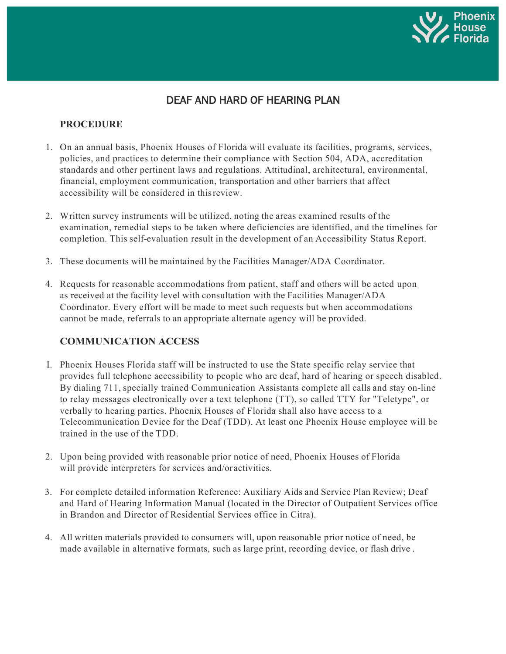

# DEAF AND HARD OF HEARING PLAN

### **PROCEDURE**

- 1. On an annual basis, Phoenix Houses of Florida will evaluate its facilities, programs, services, policies, and practices to determine their compliance with Section 504, ADA, accreditation standards and other pertinent laws and regulations. Attitudinal, architectural, environmental, financial, employment communication, transportation and other barriers that affect accessibility will be considered in thisreview.
- 2. Written survey instruments will be utilized, noting the areas examined results of the examination, remedial steps to be taken where deficiencies are identified, and the timelines for completion. This self-evaluation result in the development of an Accessibility Status Report.
- 3. These documents will be maintained by the Facilities Manager/ADA Coordinator.
- 4. Requests for reasonable accommodations from patient, staff and others will be acted upon as received at the facility level with consultation with the Facilities Manager/ADA Coordinator. Every effort will be made to meet such requests but when accommodations cannot be made, referrals to an appropriate alternate agency will be provided.

#### **COMMUNICATION ACCESS**

- I. Phoenix Houses Florida staff will be instructed to use the State specific relay service that provides full telephone accessibility to people who are deaf, hard of hearing or speech disabled. By dialing 711, specially trained Communication Assistants complete all calls and stay on-line to relay messages electronically over a text telephone (TT), so called TTY for "Teletype", or verbally to hearing parties. Phoenix Houses of Florida shall also have access to a Telecommunication Device for the Deaf (TDD). At least one Phoenix House employee will be trained in the use of the TDD.
- 2. Upon being provided with reasonable prior notice of need, Phoenix Houses of Florida will provide interpreters for services and/oractivities.
- 3. For complete detailed information Reference: Auxiliary Aids and Service Plan Review; Deaf and Hard of Hearing Information Manual (located in the Director of Outpatient Services office in Brandon and Director of Residential Services office in Citra).
- 4. All written materials provided to consumers will, upon reasonable prior notice of need, be made available in alternative formats, such as large print, recording device, or flash drive .